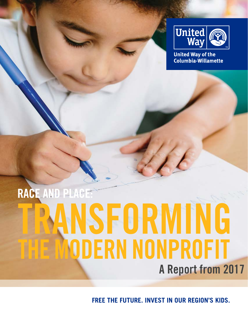

**United Way of the** Columbia-Willamette

## **RACE AND PLACE:** NSFORMING THE MODERN NONPROFIT **A Report from 2017**

**FREE THE FUTURE. INVEST IN OUR REGION'S KIDS.**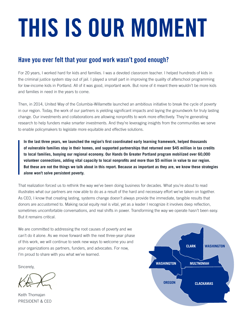# THIS IS OUR MOMENT

#### **Have you ever felt that your good work wasn't good enough?**

For 20 years, I worked hard for kids and families. I was a devoted classroom teacher. I helped hundreds of kids in the criminal justice system stay out of jail. I played a small part in improving the quality of afterschool programming for low-income kids in Portland. All of it was good, important work. But none of it meant there wouldn't be more kids and families in need in the years to come.

Then, in 2014, United Way of the Columbia-Willamette launched an ambitious initiative to break the cycle of poverty in our region. Today, the work of our partners is yielding significant impacts and laying the groundwork for truly lasting change. Our investments and collaborations are allowing nonprofits to work more effectively. They're generating research to help funders make smarter investments. And they're leveraging insights from the communities we serve to enable policymakers to legislate more equitable and effective solutions.

**In the last three years, we launched the region's first coordinated early learning framework, helped thousands of vulnerable families stay in their homes, and supported partnerships that returned over \$45 million in tax credits to local families, buoying our regional economy. Our Hands On Greater Portland program mobilized over 60,000 volunteer connections, adding vital capacity to local nonprofits and more than \$5 million in value to our region. But these are not the things we talk about in this report. Because as important as they are, we know these strategies alone won't solve persistent poverty.** 

That realization forced us to rethink the way we've been doing business for decades. What you're about to read illustrates what our partners are now able to do as a result of the hard and necessary effort we've taken on together. As CEO, I know that creating lasting, systems change doesn't always provide the immediate, tangible results that donors are accustomed to. Making racial equity real is vital, yet as a leader I recognize it involves deep reflection, sometimes uncomfortable conversations, and real shifts in power. Transforming the way we operate hasn't been easy. But it remains critical.

We are committed to addressing the root causes of poverty and we can't do it alone. As we move forward with the next three-year phase of this work, we will continue to seek new ways to welcome you and your organizations as partners, funders, and advocates. For now, I'm proud to share with you what we've learned.

Sincerely,

Keith Thomajan PRESIDENT & CEO

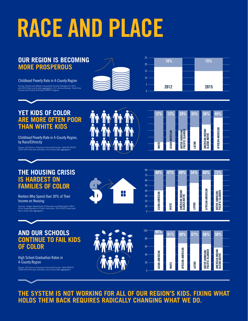# **RACE AND PLACE**

#### **OUR REGION IS BECOMING MORE PROSPEROUS**

Childhood Poverty Rate in 4-County Region

Source: Poverty and Median Household Income Estimates for 2012 and 2015 (four-county data aggregates). U.S. Census Bureau, Small Area Income and Poverty Estimates (SAIPE) Program





#### **YET KIDS OF COLOR ARE MORE OFTEN POOR THAN WHITE KIDS**

Childhood Poverty Rate in 4-County Region, by Race/Ethnicity

Source: US Census, American Community Survey, Table B17001B-I (2010-2014 five-year estimates, four-county data aggregates)



| 12%          | 12%            | 29%                                 | 35%    |    | 38%                               | 49%              |  |
|--------------|----------------|-------------------------------------|--------|----|-----------------------------------|------------------|--|
|              |                |                                     |        |    |                                   |                  |  |
|              |                |                                     |        | ., |                                   |                  |  |
|              |                |                                     |        |    |                                   |                  |  |
| <b>WHITE</b> | ASIAN-AMERICAN | NATIVE HAWAIIAN<br>Pacific islander | LATINO |    | AMERICAN INDIAN/<br>Alaska Native | AFRICAN-AMERICAN |  |
|              |                |                                     |        |    |                                   |                  |  |

#### **THE HOUSING CRISIS IS HARDEST ON FAMILIES OF COLOR**

Renters Who Spend Over 30% of Their Income on Housing

Sources: Oregon Department of Education and Washington Office of the Superintendent of Public Instruction. 2014-2015 school year (four-county data aggregates)





**58%**

**AMERICAN INDIAN/ ALASKA NATIVE**

#### **AND OUR SCHOOLS CONTINUE TO FAIL KIDS OF COLOR**

High School Graduation Rates in 4-County Region

Source: US Census, American Community Survey, Table B25070 (2006-2010 five-year estimates, four-county data aggregates)



**THE SYSTEM IS NOT WORKING FOR ALL OF OUR REGION'S KIDS. FIXING WHAT HOLDS THEM BACK REQUIRES RADICALLY CHANGING WHAT WE DO.**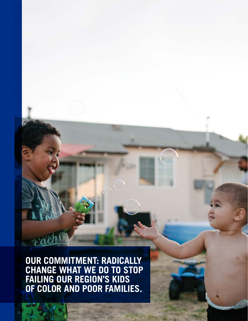**OUR COMMITMENT: RADICALLY CHANGE WHAT WE DO TO STOP FAILING OUR REGION'S KIDS OF COLOR AND POOR FAMILIES.**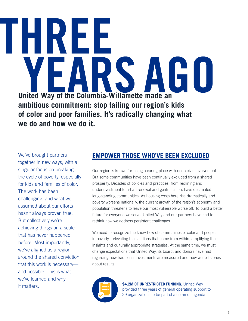### **HIXI** 51 **United Way of the Columbia-Willamette made an ambitious commitment: stop failing our region's kids of color and poor families. It's radically changing what we do and how we do it.**

We've brought partners together in new ways, with a singular focus on breaking the cycle of poverty, especially for kids and families of color. The work has been challenging, and what we assumed about our efforts hasn't always proven true. But collectively we're achieving things on a scale that has never happened before. Most importantly, we've aligned as a region around the shared conviction that this work is necessary and possible. This is what we've learned and why it matters.

#### **EMPOWER THOSE WHO'VE BEEN EXCLUDED**

Our region is known for being a caring place with deep civic involvement. But some communities have been continually excluded from a shared prosperity. Decades of policies and practices, from redlining and underinvestment to urban renewal and gentrification, have decimated long-standing communities. As housing costs here rise dramatically and poverty worsens nationally, the current growth of the region's economy and population threatens to leave our most vulnerable worse off. To build a better future for everyone we serve, United Way and our partners have had to rethink how we address persistent challenges.

We need to recognize the know-how of communities of color and people in poverty—elevating the solutions that come from within, amplifying their insights and culturally appropriate strategies. At the same time, we must change expectations that United Way, its board, and donors have had regarding how traditional investments are measured and how we tell stories about results.



**\$4.2M OF UNRESTRICTED FUNDING.** United Way provided three years of general operating support to 29 organizations to be part of a common agenda.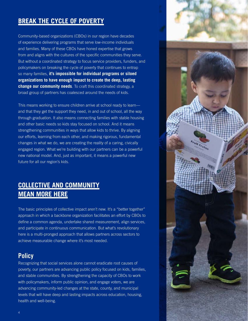#### **BREAK THE CYCLE OF POVERTY**

Community-based organizations (CBOs) in our region have decades of experience delivering programs that serve low-income individuals and families. Many of these CBOs have honed expertise that grows from and aligns with the cultures of the specific communities they serve. But without a coordinated strategy to focus service providers, funders, and policymakers on breaking the cycle of poverty that continues to entrap so many families, **it's impossible for individual programs or siloed organizations to have enough impact to create the deep, lasting change our community needs**. To craft this coordinated strategy, a broad group of partners has coalesced around the needs of kids.

This means working to ensure children arrive at school ready to learn and that they get the support they need, in and out of school, all the way through graduation. It also means connecting families with stable housing and other basic needs so kids stay focused on school. And it means strengthening communities in ways that allow kids to thrive. By aligning our efforts, learning from each other, and making rigorous, fundamental changes in what we do, we are creating the reality of a caring, civically engaged region. What we're building with our partners can be a powerful new national model. And, just as important, it means a powerful new future for all our region's kids.

#### **COLLECTIVE AND COMMUNITY MEAN MORE HERE**

The basic principles of collective impact aren't new. It's a "better together" approach in which a backbone organization facilitates an effort by CBOs to define a common agenda, undertake shared measurement, align services, and participate in continuous communication. But what's revolutionary here is a multi-pronged approach that allows partners across sectors to achieve measurable change where it's most needed.

#### **Policy**

Recognizing that social services alone cannot eradicate root causes of poverty, our partners are advancing public policy focused on kids, families, and stable communities. By strengthening the capacity of CBOs to work with policymakers, inform public opinion, and engage voters, we are advancing community-led changes at the state, county, and municipal levels that will have deep and lasting impacts across education, housing, health and well-being.

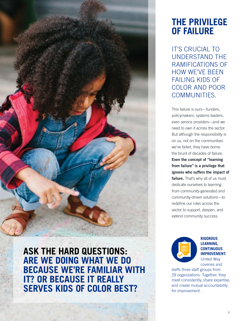

**ASK THE HARD QUESTIONS: ARE WE DOING WHAT WE DO BECAUSE WE'RE FAMILIAR WITH IT? OR BECAUSE IT REALLY SERVES KIDS OF COLOR BEST?** 

#### **THE PRIVILEGE OF FAILURE**

IT'S CRUCIAL TO UNDERSTAND THE RAMIFICATIONS OF HOW WE'VE BEEN FAILING KIDS OF COLOR AND POOR COMMUNITIES.

This failure is ours—funders, policymakers, systems leaders, even service providers—and we need to own it across the sector. But although the responsibility is on us, not on the communities we've failed, they have borne the brunt of decades of failure. **Even the concept of "learning from failure" is a privilege that ignores who suffers the impact of**  failure. That's why all of us must dedicate ourselves to learning from community-generated and community-driven solutions—to redefine our roles across the sector to support, deepen, and extend community success.



#### **RIGOROUS LEARNING, CONTINUOUS IMPROVEMENT.** United Way covenes and

staffs three staff groups from 29 organizations. Together, they meet consistently, share expertise, and create mutual accountability for improvement.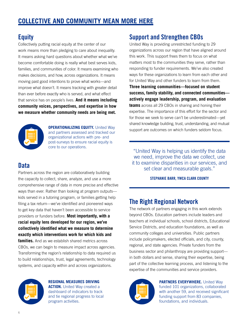#### **Equity**

Collectively putting racial equity at the center of our work means more than pledging to care about inequality. It means asking hard questions about whether what we've become comfortable doing is really what best serves kids, families, and communities of color. It means examining who makes decisions, and how, across organizations. It means moving past good intentions to prove what works—and improve what doesn't. It means tracking with greater detail than ever before exactly who is served, and what effect that service has on people's lives. **And it means including community voices, perspectives, and expertise in how we measure whether community needs are being met.**

Partners across the region are collaboratively building the capacity to collect, share, analyze, and use a more comprehensive range of data in more precise and effective ways than ever. Rather than looking at program outputs kids served in a tutoring program, or families getting help filing a tax return—we've identified and pioneered ways to get key data that haven't been accessible to service

**collectively identified what we measure to determine exactly which interventions work for which kids and families.** And as we establish shared metrics across CBOs, we can begin to measure impact across agencies. Transforming the region's relationship to data required us to build relationships, trust, legal agreements, technology systems, and capacity within and across organizations.



**Data**

**OPERATIONALIZING EQUITY.** United Way and partners assessed and tracked our organizational actions with pre- and post-surveys to ensure racial equity is core to our operations.

#### **Support and Strengthen CBOs**

United Way is providing unrestricted funding to 29 organizations across our region that have aligned around this work. This support frees them to focus on what matters most to the communities they serve, rather than responding to funder requirements. We've also created ways for these organizations to learn from each other and for United Way and other funders to learn from them. **Three learning communities—focused on student success, family stability, and connected communities actively engage leadership, program, and evaluation teams** across all 29 CBOs in sharing and honing their expertise. The importance of this effort for the sector and for those we seek to serve can't be underestimated—yet shared knowledge building, trust, understanding, and mutual support are outcomes on which funders seldom focus.

"United Way is helping us identify the data we need, improve the data we collect, use it to examine disparities in our services, and set clear and measurable goals."

#### **STEPHANIE BARR, YWCA CLARK COUNTY**

#### **The Right Regional Network**

The network of partners engaging in this work extends beyond CBOs. Education partners include leaders and teachers at individual schools, school districts, Educational Service Districts, and education foundations, as well as community colleges and universities. Public partners include policymakers, elected officials, and city, county, regional, and state agencies. Private funders from the business sector and philanthropy are providing support in both dollars and sense, sharing their expertise, being part of the collective learning process, and listening to the expertise of the communities and service providers.



**REGIONAL MEASURES DRIVING ACTION.** United Way created a dashboard of indicators to track and tie regional progress to local program activities.



**PARTNERS EVERYWHERE.** United Way funded 101 organizations, collaborated with another 59, and received significant funding support from 83 companies, foundations, and individuals.

#### providers or funders before. **Most importantly, with a racial equity lens developed for our region, we've**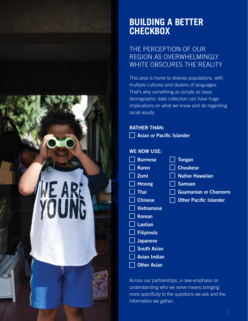# WE AR:<br>YOUNG

#### **BUILDING A BETTER CHECKBOX**

#### THE PERCEPTION OF OUR REGION AS OVERWHELMINGLY WHITE OBSCURES THE REALITY

This area is home to diverse populations, with multiple cultures and dozens of languages. That's why something as simple as basic demographic data collection can have huge implications on what we know and do regarding racial equity.

#### **RATHER THAN:**

**Asian or Pacific Islander** 

#### **WE NOW USE:**

| <b>Burmese</b>     | <b>Tongan</b>                 |
|--------------------|-------------------------------|
| <b>Karen</b>       | <b>Chuukese</b>               |
| <b>Zomi</b>        | <b>Native Hawaiian</b>        |
| <b>Hmong</b>       | <b>Samoan</b>                 |
| Thai               | <b>Guamanian or Chamorro</b>  |
| <b>Chinese</b>     | <b>Other Pacific Islander</b> |
| <b>Vietnamese</b>  |                               |
| <b>Korean</b>      |                               |
| <b>Laotian</b>     |                               |
| <b>Filipino/a</b>  |                               |
| <b>Japanese</b>    |                               |
| <b>South Asian</b> |                               |
| Asian Indian       |                               |
| <b>Other Asian</b> |                               |
|                    |                               |

Across our partnerships, a new emphasis on understanding who we serve means bringing more specificity to the questions we ask and the information we gather.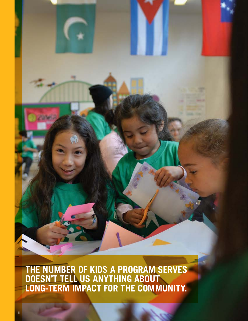**THE NUMBER OF KIDS A PROGRAM SERVES DOESN'T TELL US ANYTHING ABOUT LONG-TERM IMPACT FOR THE COMMUNITY.**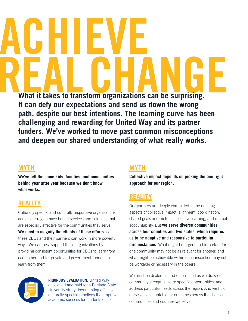**What it takes to transform organizations can be surprising. It can defy our expectations and send us down the wrong path, despite our best intentions. The learning curve has been challenging and rewarding for United Way and its partner funders. We've worked to move past common misconceptions and deepen our shared understanding of what really works.**

#### **MYTH**

**We've left the same kids, families, and communities behind year after year because we don't know what works.**

#### **REALITY**

Culturally specific and culturally responsive organizations across our region have honed services and solutions that are especially effective for the communities they serve.

**We need to magnify the effects of these efforts** so these CBOs and their partners can work in more powerful ways. We can best support these organizations by providing consistent opportunities for CBOs to learn from each other and for private and government funders to learn from them.

> **RIGOROUS EVALUATION.** United Way developed and paid for a Portland State University study documenting effective culturally-specific practices that improve academic success for students of color.

#### **MYTH**

**Collective impact depends on picking the one right approach for our region.**

#### **REALITY**

Our partners are deeply committed to the defining aspects of collective impact: alignment, coordination, shared goals and metrics, collective learning, and mutual accountability. But **we serve diverse communities across four counties and two states, which requires us to be adaptive and responsive to particular circumstances**. What might be urgent and important for one community may not be as relevant for another, and what might be achievable within one jurisdiction may not be workable or necessary in the others.

We must be dexterous and determined as we draw on community strengths, seize specific opportunities, and address particular needs across the region. And we hold ourselves accountable for outcomes across the diverse communities and counties we serve.

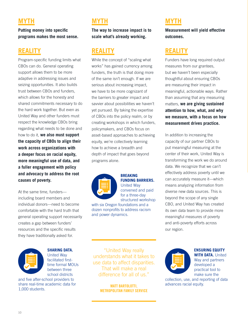#### **MYTH**

**Putting money into specific programs makes the most sense.**

#### **REALITY**

Program-specific funding limits what CBOs can do. General operating support allows them to be more adaptive in addressing issues and seizing opportunities. It also builds trust between CBOs and funders, which allows for the honesty and shared commitments necessary to do the hard work together. But even as United Way and other funders must respect the knowledge CBOs bring regarding what needs to be done and how to do it, **we also must support the capacity of CBOs to align their work across organizations with a deeper focus on racial equity, more meaningful use of data, and a fuller engagement with policy and advocacy to address the root causes of poverty.**

At the same time, funders including board members and individual donors—need to become comfortable with the hard truth that general operating support necessarily creates a gap between funders' resources and the specific results they have traditionally asked for.



#### **SHARING DATA.**

United Way facilitated firsttime formal MOUs between three school districts

and five after-school providers to share real-time academic data for 1,000 students.

#### **MYTH**

**The way to increase impact is to scale what's already working.**

#### **REALITY**

While the concept of "scaling what works" has gained currency among funders, the truth is that doing more of the same isn't enough. If we are serious about increasing impact, we have to be more cognizant of the barriers to greater impact and savvier about possibilities we haven't yet pursued. By taking the expertise of CBOs into the policy realm, or by creating workshops in which funders, policymakers, and CBOs focus on asset-based approaches to achieving equity, we're collectively learning how to achieve a breadth and depth of impact that goes beyond programs alone.



#### **BREAKING FUNDING BARRIERS.**

United Way convened and paid for a three-day structured workshop

with six Oregon foundations and a dozen nonprofits to address racism and power dynamics.

#### **MYTH**

**Measurement will yield effective outcomes.**

#### **REALITY**

Funders have long required output measures from our grantees, but we haven't been especially thoughtful about ensuring CBOs are measuring their impact in meaningful, actionable ways. Rather than assuming that any measuring matters, **we are giving sustained attention to how, what, and why we measure, with a focus on how measurement drives practice.**

In addition to increasing the capacity of our partner CBOs to put meaningful measuring at the center of their work, United Way is transforming the work we do around data. We recognize that we can't effectively address poverty until we can accurately measure it—which means analyzing information from diverse new data sources. This is beyond the scope of any single CBO, and United Way has created its own data team to provide more meaningful measures of poverty and anti-poverty efforts across our region.

"United Way really understands what it takes to use data to affect disparities. That will make a real difference for all of us."

> **MATT BARTOLOTTI, METROPOLITAN FAMILY SERVICE**



#### **ENSURING EQUITY WITH DATA.** United Way and partners developed a practical tool to

make sure the

collection, use, and reporting of data advances racial equity.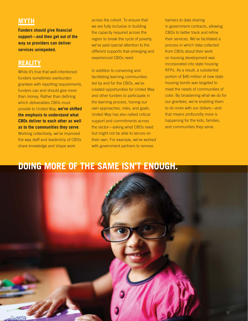#### **MYTH**

**Funders should give financial support—and then get out of the way so providers can deliver services unimpeded.**

#### **REALITY**

While it's true that well-intentioned funders sometimes overburden grantees with reporting requirements, funders can and should give more than money. Rather than defining which deliverables CBOs must provide to United Way, **we've shifted the emphasis to understand what CBOs deliver to each other as well as to the communities they serve**. Working collectively, we've improved the way staff and leadership of CBOs share knowledge and shape work

across the cohort. To ensure that we are fully inclusive in building the capacity required across the region to break the cycle of poverty, we've paid special attention to the different supports that emerging and experienced CBOs need.

In addition to convening and facilitating learning communities led by and for the CBOs, we've created opportunities for United Way and other funders to participate in the learning process, honing our own approaches, roles, and goals. United Way has also rallied critical support and commitments across the sector—asking what CBOs need but might not be able to secure on their own. For example, we've worked with government partners to remove

barriers to data sharing in government contracts, allowing CBOs to better track and refine their services. We've facilitated a process in which data collected from CBOs about their work on housing development was incorporated into state housing RFPs. As a result, a substantial portion of \$40 million of new state housing bonds was targeted to meet the needs of communities of color. By broadening what we do for our grantees, we're enabling them to do more with our dollars—and that means profoundly more is happening for the kids, families, and communities they serve.

#### **DOING MORE OF THE SAME ISN'T ENOUGH.**

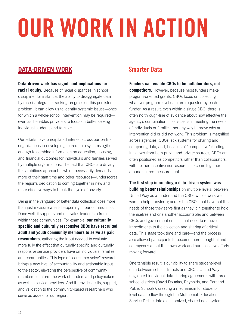# OUR WORK IN ACTION

#### **DATA-DRIVEN WORK**

#### **Data-driven work has significant implications for**

**racial equity.** Because of racial disparities in school discipline, for instance, the ability to disaggregate data by race is integral to tracking progress on this persistent problem. It can allow us to identify systemic issues—ones for which a whole-school intervention may be required even as it enables providers to focus on better serving individual students and families.

Our efforts have precipitated interest across our partner organizations in developing shared data systems agile enough to combine information on education, housing, and financial outcomes for individuals and families served by multiple organizations. The fact that CBOs are driving this ambitious approach—which necessarily demands more of their staff time and other resources—underscores the region's dedication to coming together in new and more effective ways to break the cycle of poverty.

Being in the vanguard of better data collection does more than just measure what's happening in our communities. Done well, it supports and cultivates leadership from within those communities. For example, **our culturally specific and culturally responsive CBOs have recruited adult and youth community members to serve as paid researchers**, gathering the input needed to evaluate more fully the effect that culturally specific and culturally responsive service providers have on individuals, families, and communities. This type of "consumer voice" research brings a new level of accountability and actionable input to the sector, elevating the perspective of community members to inform the work of funders and policymakers as well as service providers. And it provides skills, support, and validation to the community-based researchers who serve as assets for our region.

#### **Smarter Data**

#### **Funders can enable CBOs to be collaborators, not**

**competitors.** However, because most funders make program-oriented grants, CBOs focus on collecting whatever program-level data are requested by each funder. As a result, even within a single CBO, there is often no through-line of evidence about how effective the agency's combination of services is in meeting the needs of individuals or families, nor any way to prove why an intervention did or did not work. This problem is magnified across agencies: CBOs lack systems for sharing and comparing data, and, because of "competitive" funding initiatives from both public and private sources, CBOs are often positioned as competitors rather than collaborators, with neither incentive nor resources to come together around shared measurement.

**The first step in creating a data-driven system was building better relationships** on multiple levels: between United Way as a funder and the CBOs whose work we want to help transform; across the CBOs that have put the needs of those they serve first as they join together to hold themselves and one another accountable; and between CBOs and government entities that need to remove impediments to the collection and sharing of critical data. This stage took time and care—and the process also allowed participants to become more thoughtful and courageous about their own work and our collective efforts moving forward.

One tangible result is our ability to share student-level data between school districts and CBOs. United Way negotiated individual data-sharing agreements with three school districts (David Douglas, Reynolds, and Portland Public Schools), creating a mechanism for studentlevel data to flow through the Multnomah Educational Service District into a customized, shared data system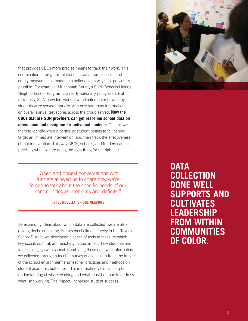that provides CBOs more precise means to track their work. This combination of program-related data, data from schools, and equity measures has made data actionable in ways not previously possible. For example, Multnomah County's SUN (Schools Uniting Neighborhoods) Program is already nationally recognized. But previously, SUN providers worked with limited data: how many students were served annually, with only summary information on overall annual test scores across the group served. **Now the CBOs that are SUN providers can get real-time school data on attendance and discipline for individual students.** That allows them to identify when a particular student begins to fall behind, target an immediate intervention, and then track the effectiveness of that intervention. This way CBOs, schools, and funders can see precisely when we are doing the right thing for the right kids.

"Open and honest conversations with funders allowed us to share how we're forced to talk about the specific needs of our communities as problems and deficits."

#### **RENEE MOSELEY, BRIDGE MEADOWS**

By expanding ideas about which data are collected, we are also driving decision-making. For a school climate survey in the Reynolds School District, we developed a series of tools to measure which key social, cultural, and teaching factors impact how students and families engage with school. Combining these data with information we collected through a teacher survey enables us to track the impact of the school environment and teacher practices and methods on student academic outcomes. This information yields a sharper understanding of what's working and what must be done to address what isn't working. The impact: increased student success.



**DATA COLLECTION DONE WELL SUPPORTS AND CULTIVATES LEADERSHIP FROM WITHIN COMMUNITIES OF COLOR.**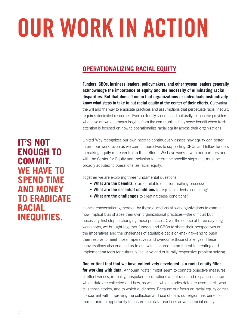# OUR WORK IN ACTION

#### **OPERATIONALIZING RACIAL EQUITY**

**Funders, CBOs, business leaders, policymakers, and other system leaders generally acknowledge the importance of equity and the necessity of eliminating racial disparities. But that doesn't mean that organizations or individuals instinctively know what steps to take to put racial equity at the center of their efforts.** Cultivating the will and the way to eradicate practices and assumptions that perpetuate racial inequity requires dedicated resources. Even culturally specific and culturally responsive providers who have drawn enormous insights from the communities they serve benefit when fresh attention is focused on how to operationalize racial equity across their organizations.

United Way recognizes our own need to continuously assess how equity can better inform our work, even as we commit ourselves to supporting CBOs and fellow funders in making equity more central to their efforts. We have worked with our partners and with the Center for Equity and Inclusion to determine specific steps that must be broadly adopted to operationalize racial equity.

Together we are exploring three fundamental questions:

- **What are the benefits** of an equitable decision-making process?
- **What are the essential conditions** for equitable decision-making?
- **What are the challenges** to creating these conditions?

Honest conversation generated by these questions allows organizations to examine how implicit bias shapes their own organizational practices—the difficult but necessary first step in changing those practices. Over the course of three day-long workshops, we brought together funders and CBOs to share their perspectives on the imperatives and the challenges of equitable decision-making—and to push their resolve to meet those imperatives and overcome those challenges. These conversations also enabled us to cultivate a shared commitment to creating and implementing tools for culturally inclusive and culturally responsive problem solving.

**One critical tool that we have collectively developed is a racial equity filter** 

**for working with data.** Although "data" might seem to connote objective measures of effectiveness, in reality, unspoken assumptions about race and disparities shape which data are collected and how, as well as which stories data are used to tell, who tells those stories, and to which audiences. Because our focus on racial equity comes concurrent with improving the collection and use of data, our region has benefited from a unique opportunity to ensure that data practices advance racial equity.

**IT'S NOT ENOUGH TO COMMIT. WE HAVE TO SPEND TIME AND MONEY TO ERADICATE RACIAL INEQUITIES.**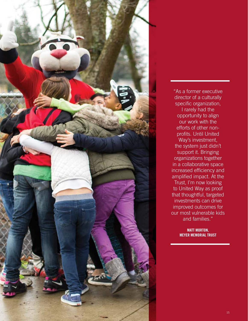

"As a former executive director of a culturally specific organization, I rarely had the opportunity to align our work with the efforts of other nonprofits. Until United Way's investment, the system just didn't support it. Bringing organizations together in a collaborative space increased efficiency and amplified impact. At the Trust, I'm now looking to United Way as proof that thoughtful, targeted investments can drive improved outcomes for our most vulnerable kids and families."

> **MATT MORTON, MEYER MEMORIAL TRUST**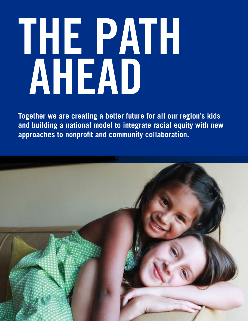# THE PATH<br>AHEAD

**Together we are creating a better future for all our region's kids and building a national model to integrate racial equity with new approaches to nonprofit and community collaboration.**

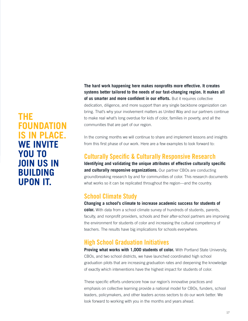**The hard work happening here makes nonprofits more effective. It creates systems better tailored to the needs of our fast-changing region. It makes all of us smarter and more confident in our efforts.** But it requires collective dedication, diligence, and more support than any single backbone organization can bring. That's why your involvement matters as United Way and our partners continue to make real what's long overdue for kids of color, families in poverty, and all the communities that are part of our region.

In the coming months we will continue to share and implement lessons and insights from this first phase of our work. Here are a few examples to look forward to:

#### **Culturally Specific & Culturally Responsive Research**

**Identifying and validating the unique attributes of effective culturally specific and culturally responsive organizations.** Our partner CBOs are conducting groundbreaking research by and for communities of color. This research documents what works so it can be replicated throughout the region—and the country.

#### **School Climate Study**

**Changing a school's climate to increase academic success for students of color.** With data from a school climate survey of hundreds of students, parents, faculty, and nonprofit providers, schools and their after-school partners are improving the environment for students of color and increasing the cultural competency of teachers. The results have big implications for schools everywhere.

#### **High School Graduation Initiatives**

**Proving what works with 1,000 students of color.** With Portland State University, CBOs, and two school districts, we have launched coordinated high school graduation pilots that are increasing graduation rates and deepening the knowledge of exactly which interventions have the highest impact for students of color.

These specific efforts underscore how our region's innovative practices and emphasis on collective learning provide a national model for CBOs, funders, school leaders, policymakers, and other leaders across sectors to do our work better. We look forward to working with you in the months and years ahead.

#### **THE FOUNDATION IS IN PLACE. WE INVITE YOU TO JOIN US IN BUILDING UPON IT.**